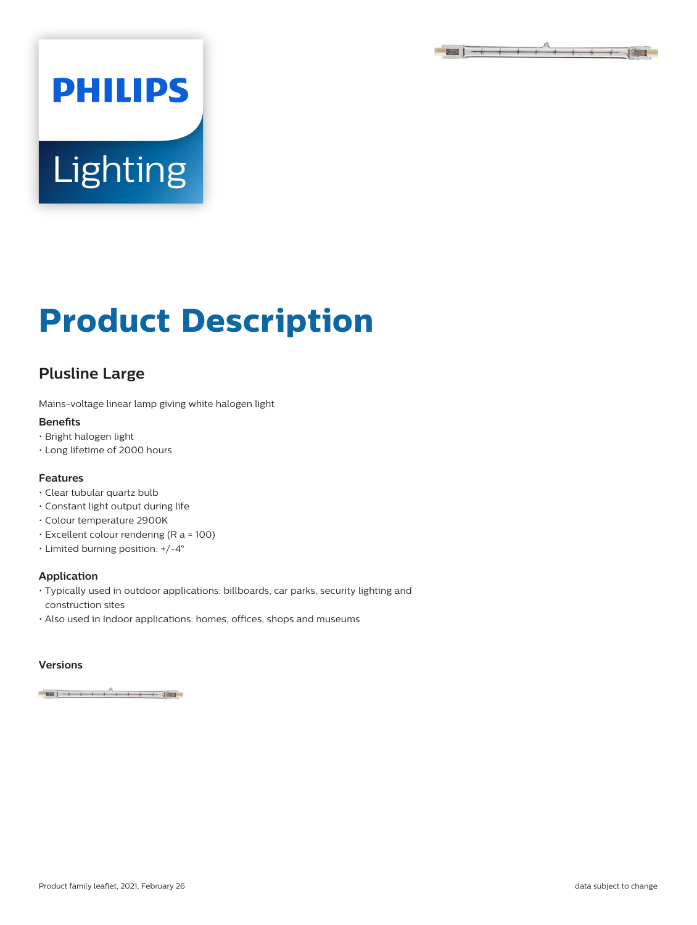

# **PHILIPS Lighting**

## **Product Description**

### **Plusline Large**

Mains-voltage linear lamp giving white halogen light

#### **Benefits**

- Bright halogen light
- Long lifetime of 2000 hours

#### **Features**

- Clear tubular quartz bulb
- Constant light output during life
- Colour temperature 2900K
- Excellent colour rendering (R a = 100)
- Limited burning position: +/-4°

#### **Application**

- Typically used in outdoor applications: billboards, car parks, security lighting and construction sites
- Also used in Indoor applications: homes, offices, shops and museums

#### **Versions**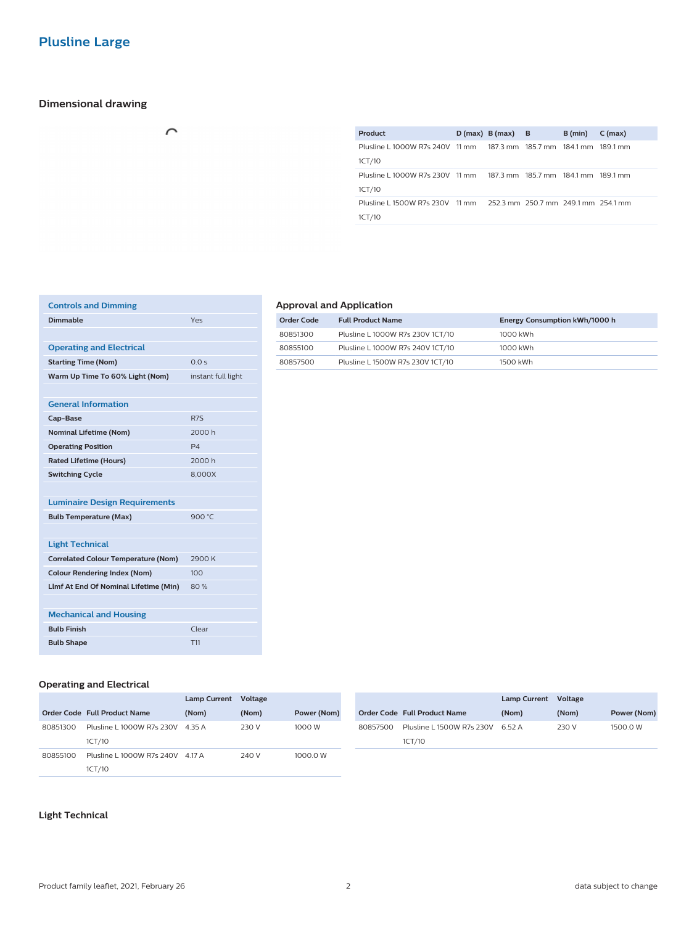#### **Dimensional drawing**

| $\sim$ |  |
|--------|--|
|        |  |
|        |  |

| Product                                                                       | D(max) B(max) B | B (min) | $C$ (max) |
|-------------------------------------------------------------------------------|-----------------|---------|-----------|
| Plusline L1000W R7s 240V 11 mm 187.3 mm 185.7 mm 184.1 mm 189.1 mm<br>1CT/10  |                 |         |           |
| Plusline L1000W R7s 230V 11 mm 187.3 mm 185.7 mm 184.1 mm 189.1 mm            |                 |         |           |
| 1CT/10                                                                        |                 |         |           |
| Plusline L 1500W R7s 230V 11 mm 252.3 mm 250.7 mm 249.1 mm 254.1 mm<br>1CT/10 |                 |         |           |
|                                                                               |                 |         |           |

| <b>Controls and Dimming</b>                |                    |
|--------------------------------------------|--------------------|
| <b>Dimmable</b>                            | Yes                |
|                                            |                    |
| <b>Operating and Electrical</b>            |                    |
| <b>Starting Time (Nom)</b>                 | 0.0 s              |
| Warm Up Time To 60% Light (Nom)            | instant full light |
|                                            |                    |
| <b>General Information</b>                 |                    |
| Cap-Base                                   | R <sub>7S</sub>    |
| <b>Nominal Lifetime (Nom)</b>              | 2000h              |
| <b>Operating Position</b>                  | P <sub>4</sub>     |
| <b>Rated Lifetime (Hours)</b>              | 2000 h             |
| <b>Switching Cycle</b>                     | 8.000X             |
|                                            |                    |
| <b>Luminaire Design Requirements</b>       |                    |
| <b>Bulb Temperature (Max)</b>              | 900 °C             |
|                                            |                    |
| <b>Light Technical</b>                     |                    |
| <b>Correlated Colour Temperature (Nom)</b> | 2900 K             |
| <b>Colour Rendering Index (Nom)</b>        | 100                |
| Llmf At End Of Nominal Lifetime (Min)      | 80%                |
|                                            |                    |
| <b>Mechanical and Housing</b>              |                    |
| <b>Bulb Finish</b>                         | Clear              |
| <b>Bulb Shape</b>                          | T <sub>11</sub>    |

#### **Approval and Application**

| Order Code | <b>Full Product Name</b>         | Energy Consumption kWh/1000 h |
|------------|----------------------------------|-------------------------------|
| 80851300   | Plusline L 1000W R7s 230V 1CT/10 | 1000 kWh                      |
| 80855100   | Plusline L 1000W R7s 240V 1CT/10 | 1000 kWh                      |
| 80857500   | Plusline L 1500W R7s 230V 1CT/10 | 1500 kWh                      |

#### **Operating and Electrical**

|          |                                  | Lamp Current Voltage |       |             |          |                              | <b>Lamp Current</b> | Voltage |             |
|----------|----------------------------------|----------------------|-------|-------------|----------|------------------------------|---------------------|---------|-------------|
|          | Order Code Full Product Name     | (Nom)                | (Nom) | Power (Nom) |          | Order Code Full Product Name | (Nom)               | (Nom)   | Power (Nom) |
| 80851300 | Plusline L 1000W R7s 230V        | 4.35 A               | 230 V | 1000 W      | 80857500 | Plusline L 1500W R7s 230V    | 6.52 A              | 230 V   | 1500.0 W    |
|          | 1CT/10                           |                      |       |             |          | 1CT/10                       |                     |         |             |
| 80855100 | Plusline L 1000W R7s 240V 4.17 A |                      | 240 V | 1000.0 W    |          |                              |                     |         |             |
|          | 1CT/10                           |                      |       |             |          |                              |                     |         |             |

#### **Light Technical**